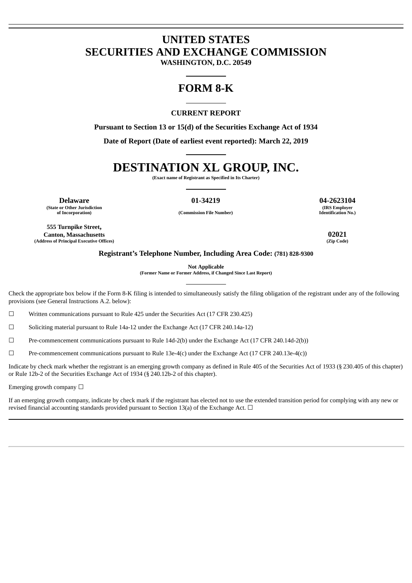# **UNITED STATES SECURITIES AND EXCHANGE COMMISSION**

**WASHINGTON, D.C. 20549**

# **FORM 8-K**

#### **CURRENT REPORT**

**Pursuant to Section 13 or 15(d) of the Securities Exchange Act of 1934**

**Date of Report (Date of earliest event reported): March 22, 2019**

# **DESTINATION XL GROUP, INC.**

**(Exact name of Registrant as Specified in Its Charter)**

**Delaware 01-34219 04-2623104 (State or Other Jurisdiction**

**(IRS Employer Identification No.)**

**of Incorporation) (Commission File Number)**

**555 Turnpike Street, Canton, Massachusetts 02021 (Address of Principal Executive Offices)** 

#### **Registrant's Telephone Number, Including Area Code: (781) 828-9300**

**Not Applicable**

**(Former Name or Former Address, if Changed Since Last Report)**

Check the appropriate box below if the Form 8-K filing is intended to simultaneously satisfy the filing obligation of the registrant under any of the following provisions (see General Instructions A.2. below):

☐ Written communications pursuant to Rule 425 under the Securities Act (17 CFR 230.425)

 $\Box$  Soliciting material pursuant to Rule 14a-12 under the Exchange Act (17 CFR 240.14a-12)

☐ Pre-commencement communications pursuant to Rule 14d-2(b) under the Exchange Act (17 CFR 240.14d-2(b))

 $\Box$  Pre-commencement communications pursuant to Rule 13e-4(c) under the Exchange Act (17 CFR 240.13e-4(c))

Indicate by check mark whether the registrant is an emerging growth company as defined in Rule 405 of the Securities Act of 1933 (§ 230.405 of this chapter) or Rule 12b-2 of the Securities Exchange Act of 1934 (§ 240.12b-2 of this chapter).

Emerging growth company  $\Box$ 

If an emerging growth company, indicate by check mark if the registrant has elected not to use the extended transition period for complying with any new or revised financial accounting standards provided pursuant to Section 13(a) of the Exchange Act.  $\Box$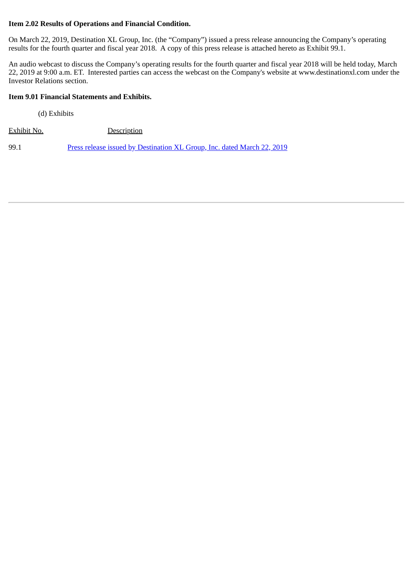# **Item 2.02 Results of Operations and Financial Condition.**

On March 22, 2019, Destination XL Group, Inc. (the "Company") issued a press release announcing the Company's operating results for the fourth quarter and fiscal year 2018. A copy of this press release is attached hereto as Exhibit 99.1.

An audio webcast to discuss the Company's operating results for the fourth quarter and fiscal year 2018 will be held today, March 22, 2019 at 9:00 a.m. ET. Interested parties can access the webcast on the Company's website at www.destinationxl.com under the Investor Relations section.

# **Item 9.01 Financial Statements and Exhibits.**

(d) Exhibits

Exhibit No. Description

99.1 [Press release issued by Destination XL Group, Inc. dated March 22, 2019](#page-3-0)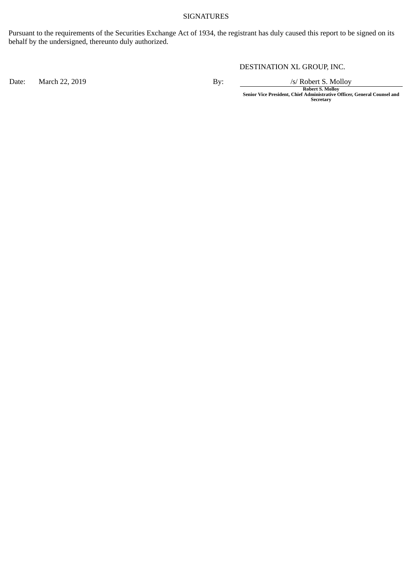#### SIGNATURES

Pursuant to the requirements of the Securities Exchange Act of 1934, the registrant has duly caused this report to be signed on its behalf by the undersigned, thereunto duly authorized.

DESTINATION XL GROUP, INC.

Date: March 22, 2019 By: *By: /s/ Robert S. Molloy* 

**Robert S. Molloy Senior Vice President, Chief Administrative Officer, General Counsel and Secretary**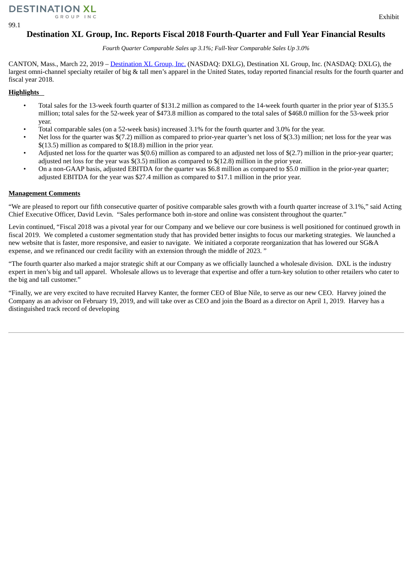<span id="page-3-0"></span>99.1

# **Destination XL Group, Inc. Reports Fiscal 2018 Fourth-Quarter and Full Year Financial Results**

*Fourth Quarter Comparable Sales up 3.1%; Full-Year Comparable Sales Up 3.0%*

CANTON, Mass., March 22, 2019 – Destination XL Group, Inc. (NASDAQ: DXLG), Destination XL Group, Inc. (NASDAQ: DXLG), the largest omni-channel specialty retailer of big & tall men's apparel in the United States, today reported financial results for the fourth quarter and fiscal year 2018.

## **Highlights**

- Total sales for the 13-week fourth quarter of \$131.2 million as compared to the 14-week fourth quarter in the prior year of \$135.5 million; total sales for the 52-week year of \$473.8 million as compared to the total sales of \$468.0 million for the 53-week prior year.
- Total comparable sales (on a 52-week basis) increased 3.1% for the fourth quarter and 3.0% for the year.
- Net loss for the quarter was \$(7.2) million as compared to prior-year quarter's net loss of \$(3.3) million; net loss for the year was \$(13.5) million as compared to \$(18.8) million in the prior year.
- Adjusted net loss for the quarter was \$(0.6) million as compared to an adjusted net loss of \$(2.7) million in the prior-year quarter; adjusted net loss for the year was \$(3.5) million as compared to \$(12.8) million in the prior year.
- On a non-GAAP basis, adjusted EBITDA for the quarter was \$6.8 million as compared to \$5.0 million in the prior-year quarter; adjusted EBITDA for the year was \$27.4 million as compared to \$17.1 million in the prior year.

#### **Management Comments**

"We are pleased to report our fifth consecutive quarter of positive comparable sales growth with a fourth quarter increase of 3.1%," said Acting Chief Executive Officer, David Levin. "Sales performance both in-store and online was consistent throughout the quarter."

Levin continued, "Fiscal 2018 was a pivotal year for our Company and we believe our core business is well positioned for continued growth in fiscal 2019. We completed a customer segmentation study that has provided better insights to focus our marketing strategies. We launched a new website that is faster, more responsive, and easier to navigate. We initiated a corporate reorganization that has lowered our SG&A expense, and we refinanced our credit facility with an extension through the middle of 2023. "

"The fourth quarter also marked a major strategic shift at our Company as we officially launched a wholesale division. DXL is the industry expert in men's big and tall apparel. Wholesale allows us to leverage that expertise and offer a turn-key solution to other retailers who cater to the big and tall customer."

"Finally, we are very excited to have recruited Harvey Kanter, the former CEO of Blue Nile, to serve as our new CEO. Harvey joined the Company as an advisor on February 19, 2019, and will take over as CEO and join the Board as a director on April 1, 2019. Harvey has a distinguished track record of developing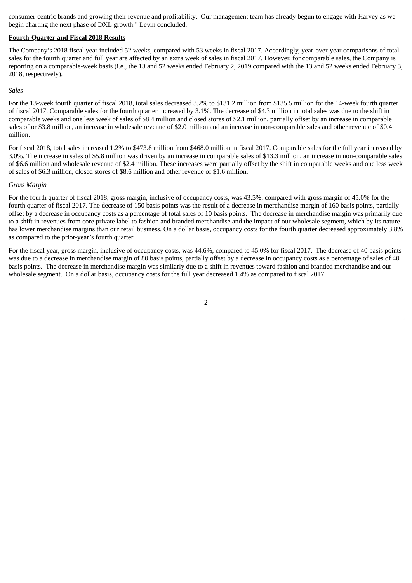consumer-centric brands and growing their revenue and profitability. Our management team has already begun to engage with Harvey as we begin charting the next phase of DXL growth." Levin concluded.

#### **Fourth-Quarter and Fiscal 2018 Results**

The Company's 2018 fiscal year included 52 weeks, compared with 53 weeks in fiscal 2017. Accordingly, year-over-year comparisons of total sales for the fourth quarter and full year are affected by an extra week of sales in fiscal 2017. However, for comparable sales, the Company is reporting on a comparable-week basis (i.e., the 13 and 52 weeks ended February 2, 2019 compared with the 13 and 52 weeks ended February 3, 2018, respectively).

#### *Sales*

For the 13-week fourth quarter of fiscal 2018, total sales decreased 3.2% to \$131.2 million from \$135.5 million for the 14-week fourth quarter of fiscal 2017. Comparable sales for the fourth quarter increased by 3.1%. The decrease of \$4.3 million in total sales was due to the shift in comparable weeks and one less week of sales of \$8.4 million and closed stores of \$2.1 million, partially offset by an increase in comparable sales of or \$3.8 million, an increase in wholesale revenue of \$2.0 million and an increase in non-comparable sales and other revenue of \$0.4 million.

For fiscal 2018, total sales increased 1.2% to \$473.8 million from \$468.0 million in fiscal 2017. Comparable sales for the full year increased by 3.0%. The increase in sales of \$5.8 million was driven by an increase in comparable sales of \$13.3 million, an increase in non-comparable sales of \$6.6 million and wholesale revenue of \$2.4 million. These increases were partially offset by the shift in comparable weeks and one less week of sales of \$6.3 million, closed stores of \$8.6 million and other revenue of \$1.6 million.

#### *Gross Margin*

For the fourth quarter of fiscal 2018, gross margin, inclusive of occupancy costs, was 43.5%, compared with gross margin of 45.0% for the fourth quarter of fiscal 2017. The decrease of 150 basis points was the result of a decrease in merchandise margin of 160 basis points, partially offset by a decrease in occupancy costs as a percentage of total sales of 10 basis points. The decrease in merchandise margin was primarily due to a shift in revenues from core private label to fashion and branded merchandise and the impact of our wholesale segment, which by its nature has lower merchandise margins than our retail business. On a dollar basis, occupancy costs for the fourth quarter decreased approximately 3.8% as compared to the prior-year's fourth quarter.

For the fiscal year, gross margin, inclusive of occupancy costs, was 44.6%, compared to 45.0% for fiscal 2017. The decrease of 40 basis points was due to a decrease in merchandise margin of 80 basis points, partially offset by a decrease in occupancy costs as a percentage of sales of 40 basis points. The decrease in merchandise margin was similarly due to a shift in revenues toward fashion and branded merchandise and our wholesale segment. On a dollar basis, occupancy costs for the full year decreased 1.4% as compared to fiscal 2017.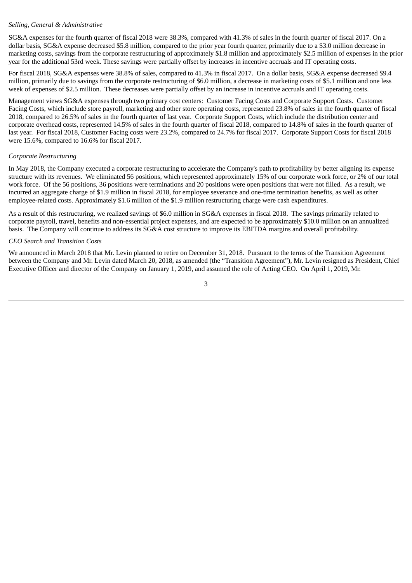#### *Selling, General & Administrative*

SG&A expenses for the fourth quarter of fiscal 2018 were 38.3%, compared with 41.3% of sales in the fourth quarter of fiscal 2017. On a dollar basis, SG&A expense decreased \$5.8 million, compared to the prior year fourth quarter, primarily due to a \$3.0 million decrease in marketing costs, savings from the corporate restructuring of approximately \$1.8 million and approximately \$2.5 million of expenses in the prior year for the additional 53rd week. These savings were partially offset by increases in incentive accruals and IT operating costs.

For fiscal 2018, SG&A expenses were 38.8% of sales, compared to 41.3% in fiscal 2017. On a dollar basis, SG&A expense decreased \$9.4 million, primarily due to savings from the corporate restructuring of \$6.0 million, a decrease in marketing costs of \$5.1 million and one less week of expenses of \$2.5 million. These decreases were partially offset by an increase in incentive accruals and IT operating costs.

Management views SG&A expenses through two primary cost centers: Customer Facing Costs and Corporate Support Costs. Customer Facing Costs, which include store payroll, marketing and other store operating costs, represented 23.8% of sales in the fourth quarter of fiscal 2018, compared to 26.5% of sales in the fourth quarter of last year. Corporate Support Costs, which include the distribution center and corporate overhead costs, represented 14.5% of sales in the fourth quarter of fiscal 2018, compared to 14.8% of sales in the fourth quarter of last year. For fiscal 2018, Customer Facing costs were 23.2%, compared to 24.7% for fiscal 2017. Corporate Support Costs for fiscal 2018 were 15.6%, compared to 16.6% for fiscal 2017.

#### *Corporate Restructuring*

In May 2018, the Company executed a corporate restructuring to accelerate the Company's path to profitability by better aligning its expense structure with its revenues. We eliminated 56 positions, which represented approximately 15% of our corporate work force, or 2% of our total work force. Of the 56 positions, 36 positions were terminations and 20 positions were open positions that were not filled. As a result, we incurred an aggregate charge of \$1.9 million in fiscal 2018, for employee severance and one-time termination benefits, as well as other employee-related costs. Approximately \$1.6 million of the \$1.9 million restructuring charge were cash expenditures.

As a result of this restructuring, we realized savings of \$6.0 million in SG&A expenses in fiscal 2018. The savings primarily related to corporate payroll, travel, benefits and non-essential project expenses, and are expected to be approximately \$10.0 million on an annualized basis. The Company will continue to address its SG&A cost structure to improve its EBITDA margins and overall profitability.

#### *CEO Search and Transition Costs*

We announced in March 2018 that Mr. Levin planned to retire on December 31, 2018. Pursuant to the terms of the Transition Agreement between the Company and Mr. Levin dated March 20, 2018, as amended (the "Transition Agreement"), Mr. Levin resigned as President, Chief Executive Officer and director of the Company on January 1, 2019, and assumed the role of Acting CEO. On April 1, 2019, Mr.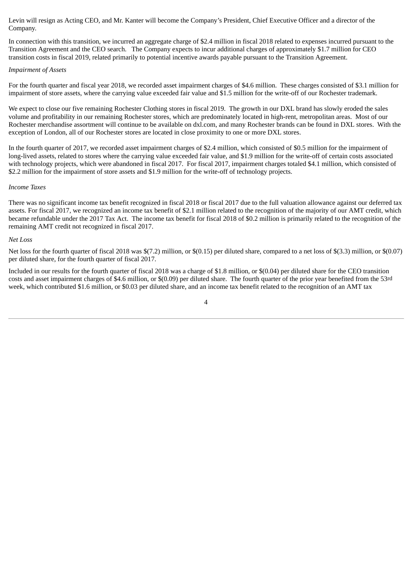Levin will resign as Acting CEO, and Mr. Kanter will become the Company's President, Chief Executive Officer and a director of the Company.

In connection with this transition, we incurred an aggregate charge of \$2.4 million in fiscal 2018 related to expenses incurred pursuant to the Transition Agreement and the CEO search. The Company expects to incur additional charges of approximately \$1.7 million for CEO transition costs in fiscal 2019, related primarily to potential incentive awards payable pursuant to the Transition Agreement.

#### *Impairment of Assets*

For the fourth quarter and fiscal year 2018, we recorded asset impairment charges of \$4.6 million. These charges consisted of \$3.1 million for impairment of store assets, where the carrying value exceeded fair value and \$1.5 million for the write-off of our Rochester trademark.

We expect to close our five remaining Rochester Clothing stores in fiscal 2019. The growth in our DXL brand has slowly eroded the sales volume and profitability in our remaining Rochester stores, which are predominately located in high-rent, metropolitan areas. Most of our Rochester merchandise assortment will continue to be available on dxl.com, and many Rochester brands can be found in DXL stores. With the exception of London, all of our Rochester stores are located in close proximity to one or more DXL stores.

In the fourth quarter of 2017, we recorded asset impairment charges of \$2.4 million, which consisted of \$0.5 million for the impairment of long-lived assets, related to stores where the carrying value exceeded fair value, and \$1.9 million for the write-off of certain costs associated with technology projects, which were abandoned in fiscal 2017. For fiscal 2017, impairment charges totaled \$4.1 million, which consisted of \$2.2 million for the impairment of store assets and \$1.9 million for the write-off of technology projects.

#### *Income Taxes*

There was no significant income tax benefit recognized in fiscal 2018 or fiscal 2017 due to the full valuation allowance against our deferred tax assets. For fiscal 2017, we recognized an income tax benefit of \$2.1 million related to the recognition of the majority of our AMT credit, which became refundable under the 2017 Tax Act. The income tax benefit for fiscal 2018 of \$0.2 million is primarily related to the recognition of the remaining AMT credit not recognized in fiscal 2017.

#### *Net Loss*

Net loss for the fourth quarter of fiscal 2018 was \$(7.2) million, or \$(0.15) per diluted share, compared to a net loss of \$(3.3) million, or \$(0.07) per diluted share, for the fourth quarter of fiscal 2017.

Included in our results for the fourth quarter of fiscal 2018 was a charge of \$1.8 million, or \$(0.04) per diluted share for the CEO transition costs and asset impairment charges of \$4.6 million, or \$(0.09) per diluted share. The fourth quarter of the prior year benefited from the 53rd week, which contributed \$1.6 million, or \$0.03 per diluted share, and an income tax benefit related to the recognition of an AMT tax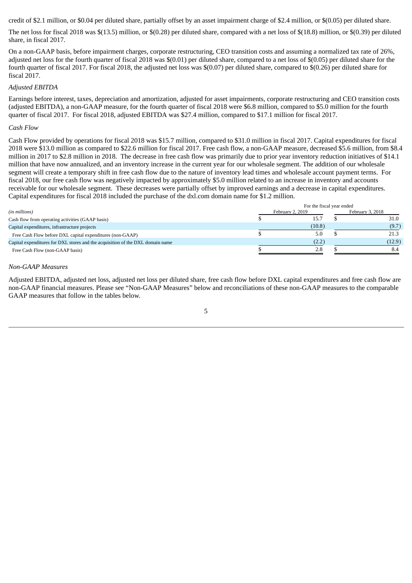credit of \$2.1 million, or \$0.04 per diluted share, partially offset by an asset impairment charge of \$2.4 million, or \$(0.05) per diluted share.

The net loss for fiscal 2018 was \$(13.5) million, or \$(0.28) per diluted share, compared with a net loss of \$(18.8) million, or \$(0.39) per diluted share, in fiscal 2017.

On a non-GAAP basis, before impairment charges, corporate restructuring, CEO transition costs and assuming a normalized tax rate of 26%, adjusted net loss for the fourth quarter of fiscal 2018 was \$(0.01) per diluted share, compared to a net loss of \$(0.05) per diluted share for the fourth quarter of fiscal 2017. For fiscal 2018, the adjusted net loss was \$(0.07) per diluted share, compared to \$(0.26) per diluted share for fiscal 2017.

#### *Adjusted EBITDA*

Earnings before interest, taxes, depreciation and amortization, adjusted for asset impairments, corporate restructuring and CEO transition costs (adjusted EBITDA), a non-GAAP measure, for the fourth quarter of fiscal 2018 were \$6.8 million, compared to \$5.0 million for the fourth quarter of fiscal 2017. For fiscal 2018, adjusted EBITDA was \$27.4 million, compared to \$17.1 million for fiscal 2017.

#### *Cash Flow*

Cash Flow provided by operations for fiscal 2018 was \$15.7 million, compared to \$31.0 million in fiscal 2017. Capital expenditures for fiscal 2018 were \$13.0 million as compared to \$22.6 million for fiscal 2017. Free cash flow, a non-GAAP measure, decreased \$5.6 million, from \$8.4 million in 2017 to \$2.8 million in 2018. The decrease in free cash flow was primarily due to prior year inventory reduction initiatives of \$14.1 million that have now annualized, and an inventory increase in the current year for our wholesale segment. The addition of our wholesale segment will create a temporary shift in free cash flow due to the nature of inventory lead times and wholesale account payment terms. For fiscal 2018, our free cash flow was negatively impacted by approximately \$5.0 million related to an increase in inventory and accounts receivable for our wholesale segment. These decreases were partially offset by improved earnings and a decrease in capital expenditures. Capital expenditures for fiscal 2018 included the purchase of the dxl.com domain name for \$1.2 million.

|                                                                                | For the fiscal year ended |                  |  |                  |  |  |  |  |
|--------------------------------------------------------------------------------|---------------------------|------------------|--|------------------|--|--|--|--|
| (in millions)                                                                  |                           | February 2, 2019 |  | February 3, 2018 |  |  |  |  |
| Cash flow from operating activities (GAAP basis)                               |                           | 15.7             |  | 31.0             |  |  |  |  |
| Capital expenditures, infrastructure projects                                  |                           | (10.8)           |  | (9.7)            |  |  |  |  |
| Free Cash Flow before DXL capital expenditures (non-GAAP)                      |                           | 5.0              |  | 21.3             |  |  |  |  |
| Capital expenditures for DXL stores and the acquisition of the DXL domain name |                           | (2.2)            |  | (12.9)           |  |  |  |  |
| Free Cash Flow (non-GAAP basis)                                                |                           | 2.8              |  | 8.4              |  |  |  |  |

#### *Non-GAAP Measures*

Adjusted EBITDA, adjusted net loss, adjusted net loss per diluted share, free cash flow before DXL capital expenditures and free cash flow are non-GAAP financial measures. Please see "Non-GAAP Measures" below and reconciliations of these non-GAAP measures to the comparable GAAP measures that follow in the tables below.

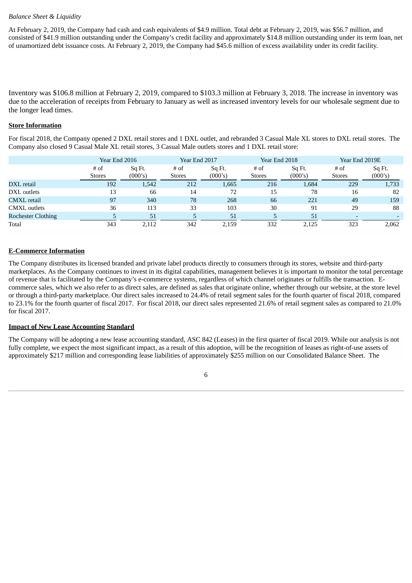#### *Balance Sheet & Liquidity*

At February 2, 2019, the Company had cash and cash equivalents of \$4.9 million. Total debt at February 2, 2019, was \$56.7 million, and consisted of \$41.9 million outstanding under the Company's credit facility and approximately \$14.8 million outstanding under its term loan, net of unamortized debt issuance costs. At February 2, 2019, the Company had \$45.6 million of excess availability under its credit facility.

Inventory was \$106.8 million at February 2, 2019, compared to \$103.3 million at February 3, 2018. The increase in inventory was due to the acceleration of receipts from February to January as well as increased inventory levels for our wholesale segment due to the longer lead times.

#### **Store Information**

For fiscal 2018, the Company opened 2 DXL retail stores and 1 DXL outlet, and rebranded 3 Casual Male XL stores to DXL retail stores. The Company also closed 9 Casual Male XL retail stores, 3 Casual Male outlets stores and 1 DXL retail store:

|                           | Year End 2016 |         | Year End 2017                                        |        | Year End 2018 |        | Year End 2019E |         |  |  |
|---------------------------|---------------|---------|------------------------------------------------------|--------|---------------|--------|----------------|---------|--|--|
|                           | $#$ of        | Sq Ft.  | # of                                                 | Sq Ft. | # of          | Sa Ft. | $#$ of         | Sq Ft.  |  |  |
|                           | <b>Stores</b> | (000's) | (000's)<br>(000's)<br><b>Stores</b><br><b>Stores</b> |        |               |        | <b>Stores</b>  | (000's) |  |  |
| DXL retail                | 192           | 1,542   | 212                                                  | 1,665  | 216           | 1,684  | 229            | 1,733   |  |  |
| DXL outlets               | 13            | 66      | 14                                                   | 72     | 15            | 78     | 16             | 82      |  |  |
| <b>CMXL</b> retail        | 97            | 340     | 78                                                   | 268    | 66            | 221    | 49             | 159     |  |  |
| <b>CMXL</b> outlets       | 36            | 113     | 33                                                   | 103    | 30            | 91     | 29             | 88      |  |  |
| <b>Rochester Clothing</b> |               | 51      |                                                      | 51     |               | 51     |                |         |  |  |
| Total                     | 343           | 2,112   | 342                                                  | 2,159  | 332           | 2.125  | 323            | 2,062   |  |  |

#### **E-Commerce Information**

The Company distributes its licensed branded and private label products directly to consumers through its stores, website and third-party marketplaces. As the Company continues to invest in its digital capabilities, management believes it is important to monitor the total percentage of revenue that is facilitated by the Company's e-commerce systems, regardless of which channel originates or fulfills the transaction. Ecommerce sales, which we also refer to as direct sales, are defined as sales that originate online, whether through our website, at the store level or through a third-party marketplace. Our direct sales increased to 24.4% of retail segment sales for the fourth quarter of fiscal 2018, compared to 23.1% for the fourth quarter of fiscal 2017. For fiscal 2018, our direct sales represented 21.6% of retail segment sales as compared to 21.0% for fiscal 2017.

#### **Impact of New Lease Accounting Standard**

The Company will be adopting a new lease accounting standard, ASC 842 (Leases) in the first quarter of fiscal 2019. While our analysis is not fully complete, we expect the most significant impact, as a result of this adoption, will be the recognition of leases as right-of-use assets of approximately \$217 million and corresponding lease liabilities of approximately \$255 million on our Consolidated Balance Sheet. The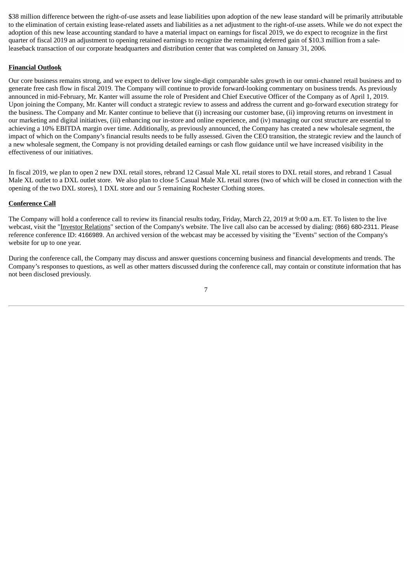\$38 million difference between the right-of-use assets and lease liabilities upon adoption of the new lease standard will be primarily attributable to the elimination of certain existing lease-related assets and liabilities as a net adjustment to the right-of-use assets. While we do not expect the adoption of this new lease accounting standard to have a material impact on earnings for fiscal 2019, we do expect to recognize in the first quarter of fiscal 2019 an adjustment to opening retained earnings to recognize the remaining deferred gain of \$10.3 million from a saleleaseback transaction of our corporate headquarters and distribution center that was completed on January 31, 2006.

#### **Financial Outlook**

Our core business remains strong, and we expect to deliver low single-digit comparable sales growth in our omni-channel retail business and to generate free cash flow in fiscal 2019. The Company will continue to provide forward-looking commentary on business trends. As previously announced in mid-February, Mr. Kanter will assume the role of President and Chief Executive Officer of the Company as of April 1, 2019. Upon joining the Company, Mr. Kanter will conduct a strategic review to assess and address the current and go-forward execution strategy for the business. The Company and Mr. Kanter continue to believe that (i) increasing our customer base, (ii) improving returns on investment in our marketing and digital initiatives, (iii) enhancing our in-store and online experience, and (iv) managing our cost structure are essential to achieving a 10% EBITDA margin over time. Additionally, as previously announced, the Company has created a new wholesale segment, the impact of which on the Company's financial results needs to be fully assessed. Given the CEO transition, the strategic review and the launch of a new wholesale segment, the Company is not providing detailed earnings or cash flow guidance until we have increased visibility in the effectiveness of our initiatives.

In fiscal 2019, we plan to open 2 new DXL retail stores, rebrand 12 Casual Male XL retail stores to DXL retail stores, and rebrand 1 Casual Male XL outlet to a DXL outlet store. We also plan to close 5 Casual Male XL retail stores (two of which will be closed in connection with the opening of the two DXL stores), 1 DXL store and our 5 remaining Rochester Clothing stores.

#### **Conference Call**

The Company will hold a conference call to review its financial results today, Friday, March 22, 2019 at 9:00 a.m. ET. To listen to the live webcast, visit the "Investor Relations" section of the Company's website. The live call also can be accessed by dialing: (866) 680-2311. Please reference conference ID: 4166989. An archived version of the webcast may be accessed by visiting the "Events" section of the Company's website for up to one year.

During the conference call, the Company may discuss and answer questions concerning business and financial developments and trends. The Company's responses to questions, as well as other matters discussed during the conference call, may contain or constitute information that has not been disclosed previously.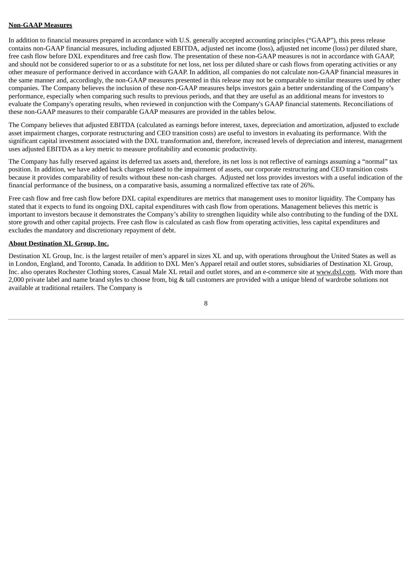#### **Non-GAAP Measures**

In addition to financial measures prepared in accordance with U.S. generally accepted accounting principles ("GAAP"), this press release contains non-GAAP financial measures, including adjusted EBITDA, adjusted net income (loss), adjusted net income (loss) per diluted share, free cash flow before DXL expenditures and free cash flow. The presentation of these non-GAAP measures is not in accordance with GAAP, and should not be considered superior to or as a substitute for net loss, net loss per diluted share or cash flows from operating activities or any other measure of performance derived in accordance with GAAP. In addition, all companies do not calculate non-GAAP financial measures in the same manner and, accordingly, the non-GAAP measures presented in this release may not be comparable to similar measures used by other companies. The Company believes the inclusion of these non-GAAP measures helps investors gain a better understanding of the Company's performance, especially when comparing such results to previous periods, and that they are useful as an additional means for investors to evaluate the Company's operating results, when reviewed in conjunction with the Company's GAAP financial statements. Reconciliations of these non-GAAP measures to their comparable GAAP measures are provided in the tables below.

The Company believes that adjusted EBITDA (calculated as earnings before interest, taxes, depreciation and amortization, adjusted to exclude asset impairment charges, corporate restructuring and CEO transition costs) are useful to investors in evaluating its performance. With the significant capital investment associated with the DXL transformation and, therefore, increased levels of depreciation and interest, management uses adjusted EBITDA as a key metric to measure profitability and economic productivity.

The Company has fully reserved against its deferred tax assets and, therefore, its net loss is not reflective of earnings assuming a "normal" tax position. In addition, we have added back charges related to the impairment of assets, our corporate restructuring and CEO transition costs because it provides comparability of results without these non-cash charges. Adjusted net loss provides investors with a useful indication of the financial performance of the business, on a comparative basis, assuming a normalized effective tax rate of 26%.

Free cash flow and free cash flow before DXL capital expenditures are metrics that management uses to monitor liquidity. The Company has stated that it expects to fund its ongoing DXL capital expenditures with cash flow from operations. Management believes this metric is important to investors because it demonstrates the Company's ability to strengthen liquidity while also contributing to the funding of the DXL store growth and other capital projects. Free cash flow is calculated as cash flow from operating activities, less capital expenditures and excludes the mandatory and discretionary repayment of debt.

#### **About Destination XL Group, Inc.**

Destination XL Group, Inc. is the largest retailer of men's apparel in sizes XL and up, with operations throughout the United States as well as in London, England, and Toronto, Canada. In addition to DXL Men's Apparel retail and outlet stores, subsidiaries of Destination XL Group, Inc. also operates Rochester Clothing stores, Casual Male XL retail and outlet stores, and an e-commerce site at www.dxl.com. With more than 2,000 private label and name brand styles to choose from, big & tall customers are provided with a unique blend of wardrobe solutions not available at traditional retailers. The Company is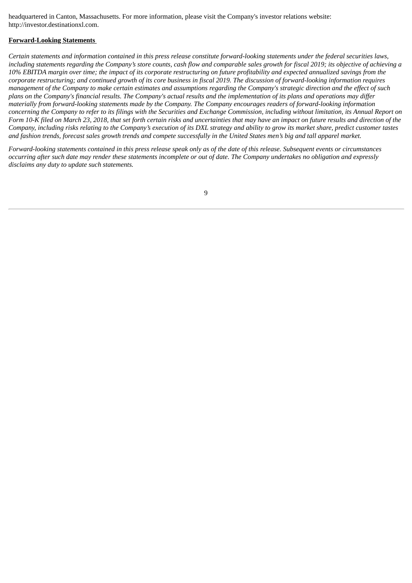headquartered in Canton, Massachusetts. For more information, please visit the Company's investor relations website: http://investor.destinationxl.com.

#### **Forward-Looking Statements**

Certain statements and information contained in this press release constitute forward-looking statements under the federal securities laws, including statements regarding the Company's store counts, cash flow and comparable sales growth for fiscal 2019; its objective of achieving a 10% EBITDA margin over time; the impact of its corporate restructuring on future profitability and expected annualized savings from the corporate restructuring; and continued growth of its core business in fiscal 2019. The discussion of forward-looking information requires management of the Company to make certain estimates and assumptions regarding the Company's strategic direction and the effect of such plans on the Company's financial results. The Company's actual results and the implementation of its plans and operations may differ materially from forward-looking statements made by the Company. The Company encourages readers of forward-looking information concerning the Company to refer to its filings with the Securities and Exchange Commission, including without limitation, its Annual Report on Form 10-K filed on March 23, 2018, that set forth certain risks and uncertainties that may have an impact on future results and direction of the Company, including risks relating to the Company's execution of its DXL strategy and ability to grow its market share, predict customer tastes and fashion trends, forecast sales growth trends and compete successfully in the United States men's big and tall apparel market.

Forward-looking statements contained in this press release speak only as of the date of this release. Subsequent events or circumstances occurring after such date may render these statements incomplete or out of date. The Company undertakes no obligation and expressly *disclaims any duty to update such statements.*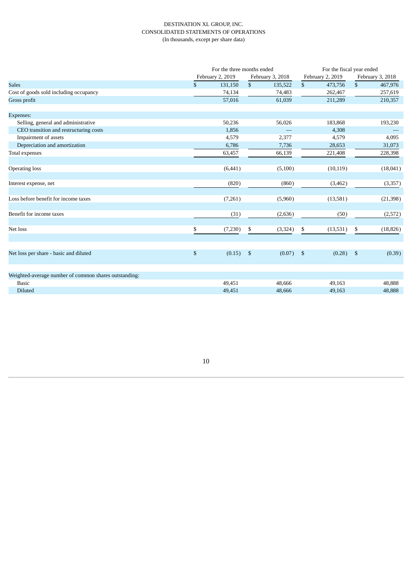#### DESTINATION XL GROUP, INC. CONSOLIDATED STATEMENTS OF OPERATIONS (In thousands, except per share data)

|                                                       |    | For the three months ended |                | For the fiscal year ended |                |                  |                  |           |  |  |
|-------------------------------------------------------|----|----------------------------|----------------|---------------------------|----------------|------------------|------------------|-----------|--|--|
|                                                       |    | February 2, 2019           |                | February 3, 2018          |                | February 2, 2019 | February 3, 2018 |           |  |  |
| <b>Sales</b>                                          |    | 131,150                    | $\mathfrak{S}$ | 135,522                   | $\mathbb{S}$   | 473,756          | $\mathbb{S}$     | 467,976   |  |  |
| Cost of goods sold including occupancy                |    | 74,134                     |                | 74,483                    |                | 262,467          |                  | 257,619   |  |  |
| Gross profit                                          |    | 57,016                     |                | 61,039                    |                | 211,289          |                  | 210,357   |  |  |
| Expenses:                                             |    |                            |                |                           |                |                  |                  |           |  |  |
| Selling, general and administrative                   |    | 50,236                     |                | 56,026                    |                | 183,868          |                  | 193,230   |  |  |
| CEO transition and restructuring costs                |    | 1,856                      |                |                           |                | 4,308            |                  |           |  |  |
| Impairment of assets                                  |    | 4,579                      |                | 2,377                     |                | 4,579            |                  | 4,095     |  |  |
| Depreciation and amortization                         |    | 6,786                      |                | 7,736                     |                | 28,653           |                  | 31,073    |  |  |
| Total expenses                                        |    | 63,457                     |                | 66,139                    |                | 221,408          |                  | 228,398   |  |  |
| <b>Operating loss</b>                                 |    | (6, 441)                   |                | (5,100)                   |                | (10, 119)        |                  | (18,041)  |  |  |
| Interest expense, net                                 |    | (820)                      |                | (860)                     |                | (3, 462)         |                  | (3, 357)  |  |  |
| Loss before benefit for income taxes                  |    | (7,261)                    |                | (5,960)                   |                | (13,581)         |                  | (21, 398) |  |  |
| Benefit for income taxes                              |    | (31)                       |                | (2,636)                   |                | (50)             |                  | (2,572)   |  |  |
| Net loss                                              | \$ | (7,230)                    | \$             | (3, 324)                  | \$             | (13,531)         | \$               | (18, 826) |  |  |
|                                                       |    |                            |                |                           |                |                  |                  |           |  |  |
| Net loss per share - basic and diluted                | \$ | (0.15)                     | $\mathfrak{s}$ | (0.07)                    | $\mathfrak{s}$ | (0.28)           | \$               | (0.39)    |  |  |
| Weighted-average number of common shares outstanding: |    |                            |                |                           |                |                  |                  |           |  |  |
| <b>Basic</b>                                          |    | 49,451                     |                | 48,666                    |                | 49,163           |                  | 48,888    |  |  |
| Diluted                                               |    |                            |                | 48,666                    |                | 49,163           |                  | 48,888    |  |  |
|                                                       |    | 49,451                     |                |                           |                |                  |                  |           |  |  |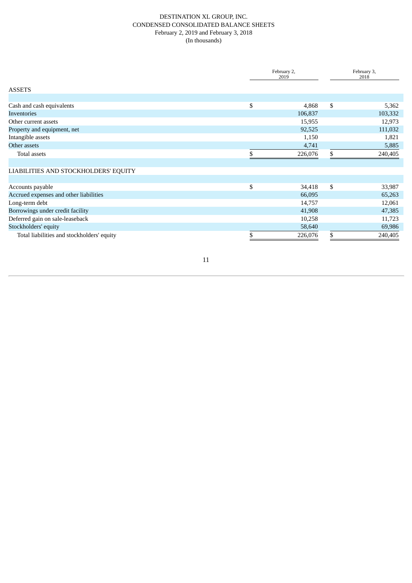#### DESTINATION XL GROUP, INC. CONDENSED CONSOLIDATED BALANCE SHEETS February 2, 2019 and February 3, 2018 (In thousands)

|                                            | February 2,<br>2019 |         | February 3,<br>2018 |         |  |
|--------------------------------------------|---------------------|---------|---------------------|---------|--|
| <b>ASSETS</b>                              |                     |         |                     |         |  |
|                                            |                     |         |                     |         |  |
| Cash and cash equivalents                  | \$                  | 4,868   | \$                  | 5,362   |  |
| <b>Inventories</b>                         |                     | 106,837 |                     | 103,332 |  |
| Other current assets                       |                     | 15,955  |                     | 12,973  |  |
| Property and equipment, net                |                     | 92,525  |                     | 111,032 |  |
| Intangible assets                          |                     | 1,150   |                     | 1,821   |  |
| Other assets                               |                     | 4,741   |                     | 5,885   |  |
| Total assets                               |                     | 226,076 | \$                  | 240,405 |  |
|                                            |                     |         |                     |         |  |
| LIABILITIES AND STOCKHOLDERS' EQUITY       |                     |         |                     |         |  |
|                                            |                     |         |                     |         |  |
| Accounts payable                           | \$                  | 34,418  | \$                  | 33,987  |  |
| Accrued expenses and other liabilities     |                     | 66,095  |                     | 65,263  |  |
| Long-term debt                             |                     | 14,757  |                     | 12,061  |  |
| Borrowings under credit facility           |                     | 41,908  |                     | 47,385  |  |
| Deferred gain on sale-leaseback            |                     | 10,258  |                     | 11,723  |  |
| Stockholders' equity                       |                     | 58,640  |                     | 69,986  |  |
| Total liabilities and stockholders' equity |                     | 226,076 |                     | 240,405 |  |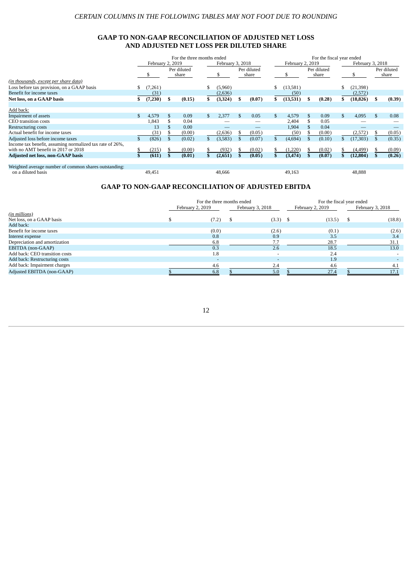#### **GAAP TO NON-GAAP RECONCILIATION OF ADJUSTED NET LOSS AND ADJUSTED NET LOSS PER DILUTED SHARE**

|                                                          | For the three months ended           |          |    |             |     |         |     |                                      | For the fiscal year ended |           |    |             |     |           |     |             |
|----------------------------------------------------------|--------------------------------------|----------|----|-------------|-----|---------|-----|--------------------------------------|---------------------------|-----------|----|-------------|-----|-----------|-----|-------------|
|                                                          | February 2, 2019<br>February 3, 2018 |          |    |             |     |         |     | February 2, 2019<br>February 3, 2018 |                           |           |    |             |     |           |     |             |
|                                                          |                                      |          |    | Per diluted |     |         |     | Per diluted                          |                           |           |    | Per diluted |     |           |     | Per diluted |
|                                                          |                                      |          |    | share       |     |         |     | share                                |                           |           |    | share       |     |           |     | share       |
| (in thousands, except per share data)                    |                                      |          |    |             |     |         |     |                                      |                           |           |    |             |     |           |     |             |
| Loss before tax provision, on a GAAP basis               | S.                                   | (7, 261) |    |             |     | (5,960) |     |                                      | \$                        | (13, 581) |    |             | S   | (21, 398) |     |             |
| Benefit for income taxes                                 |                                      | (31)     |    |             |     | (2,636) |     |                                      |                           | (50)      |    |             |     | (2,572)   |     |             |
| Net loss, on a GAAP basis                                |                                      | (7,230)  | -S | (0.15)      |     | (3,324) | S   | (0.07)                               |                           | (13,531)  | S  | (0.28)      | S   | (18, 826) | S   | (0.39)      |
|                                                          |                                      |          |    |             |     |         |     |                                      |                           |           |    |             |     |           |     |             |
| Add back:                                                |                                      |          |    |             |     |         |     |                                      |                           |           |    |             |     |           |     |             |
| Impairment of assets                                     | \$.                                  | 4,579    |    | 0.09        | \$. | 2.377   | \$. | 0.05                                 | \$.                       | 4,579     | \$ | 0.09        | \$. | 4,095     | \$. | 0.08        |
| <b>CEO</b> transition costs                              |                                      | 1,843    |    | 0.04        |     |         |     |                                      |                           | 2,404     |    | 0.05        |     |           |     |             |
| <b>Restructuring costs</b>                               |                                      | 13       |    | 0.00        |     |         |     |                                      |                           | 1,904     |    | 0.04        |     |           |     |             |
| Actual benefit for income taxes                          |                                      | (31)     |    | (0.00)      |     | (2,636) |     | (0.05)                               |                           | (50)      |    | (0.00)      |     | (2,572)   | S   | (0.05)      |
| Adjusted loss before income taxes                        |                                      | (826)    |    | (0.02)      | \$  | (3,583) |     | (0.07)                               | \$                        | (4,694)   |    | (0.10)      | \$. | (17, 303) | \$. | (0.35)      |
| Income tax benefit, assuming normalized tax rate of 26%, |                                      |          |    |             |     |         |     |                                      |                           |           |    |             |     |           |     |             |
| with no AMT benefit in 2017 or 2018                      |                                      | (215)    |    | (0.00)      |     | (932)   |     | (0.02)                               |                           | (1,220)   |    | (0.02)      |     | (4,499)   |     | (0.09)      |
| <b>Adjusted net loss, non-GAAP basis</b>                 |                                      | (611)    |    | (0.01)      |     | (2,651) |     | (0.05)                               |                           | (3, 474)  |    | (0.07)      |     | (12, 804) |     | (0.26)      |
|                                                          |                                      |          |    |             |     |         |     |                                      |                           |           |    |             |     |           |     |             |
| Weighted average number of common shares outstanding:    |                                      |          |    |             |     |         |     |                                      |                           |           |    |             |     |           |     |             |
| on a diluted basis                                       |                                      | 49,451   |    |             |     | 48,666  |     |                                      |                           | 49,163    |    |             |     | 48,888    |     |             |

## **GAAP TO NON-GAAP RECONCILIATION OF ADJUSTED EBITDA**

|                                |                  |       | For the three months ended | For the fiscal year ended |                  |  |                  |
|--------------------------------|------------------|-------|----------------------------|---------------------------|------------------|--|------------------|
|                                | February 2, 2019 |       | February 3, 2018           |                           | February 2, 2019 |  | February 3, 2018 |
| (in millions)                  |                  |       |                            |                           |                  |  |                  |
| Net loss, on a GAAP basis      |                  | (7.2) |                            | $(3.3)$ \$                | (13.5)           |  | (18.8)           |
| Add back:                      |                  |       |                            |                           |                  |  |                  |
| Benefit for income taxes       |                  | (0.0) |                            | (2.6)                     | (0.1)            |  | (2.6)            |
| Interest expense               |                  | 0.8   |                            | 0.9                       | 3.5              |  | 3.4              |
| Depreciation and amortization  |                  | 6.8   |                            | 77                        | 28.7             |  | 31.1             |
| EBITDA (non-GAAP)              |                  | 0.3   |                            | 2.6                       | 18.5             |  | 13.0             |
| Add back: CEO transition costs |                  | 1.8   |                            |                           | 2.4              |  |                  |
| Add back: Restructuring costs  |                  |       |                            |                           | 1.9              |  |                  |
| Add back: Impairment charges   |                  | 4.6   |                            | 2.4                       | 4.6              |  | 4.1              |
| Adjusted EBITDA (non-GAAP)     |                  | 6.8   |                            | 50                        | 27.4             |  | 17.1             |